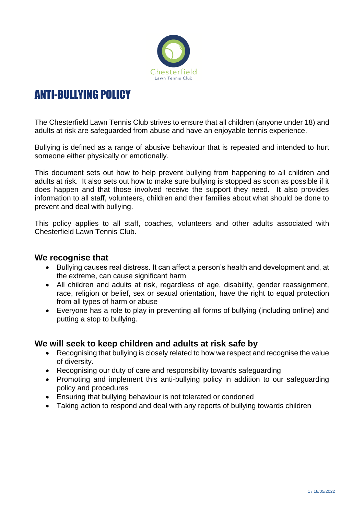

# ANTI-BULLYING POLICY

The Chesterfield Lawn Tennis Club strives to ensure that all children (anyone under 18) and adults at risk are safeguarded from abuse and have an enjoyable tennis experience.

Bullying is defined as a range of abusive behaviour that is repeated and intended to hurt someone either physically or emotionally.

This document sets out how to help prevent bullying from happening to all children and adults at risk. It also sets out how to make sure bullying is stopped as soon as possible if it does happen and that those involved receive the support they need. It also provides information to all staff, volunteers, children and their families about what should be done to prevent and deal with bullying.

This policy applies to all staff, coaches, volunteers and other adults associated with Chesterfield Lawn Tennis Club.

## **We recognise that**

- Bullying causes real distress. It can affect a person's health and development and, at the extreme, can cause significant harm
- All children and adults at risk, regardless of age, disability, gender reassignment, race, religion or belief, sex or sexual orientation, have the right to equal protection from all types of harm or abuse
- Everyone has a role to play in preventing all forms of bullying (including online) and putting a stop to bullying.

## **We will seek to keep children and adults at risk safe by**

- Recognising that bullying is closely related to how we respect and recognise the value of diversity.
- Recognising our duty of care and responsibility towards safeguarding
- Promoting and implement this anti-bullying policy in addition to our safeguarding policy and procedures
- Ensuring that bullying behaviour is not tolerated or condoned
- Taking action to respond and deal with any reports of bullying towards children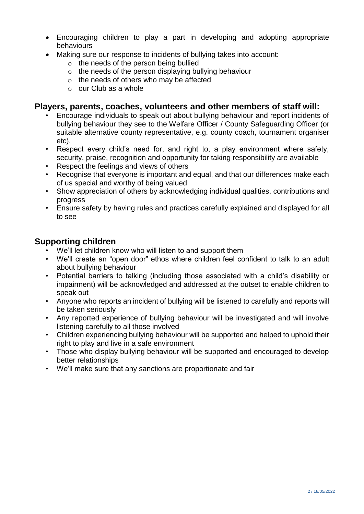- Encouraging children to play a part in developing and adopting appropriate behaviours
- Making sure our response to incidents of bullying takes into account:
	- o the needs of the person being bullied
	- $\circ$  the needs of the person displaying bullying behaviour
	- o the needs of others who may be affected
	- $\circ$  our Club as a whole

### **Players, parents, coaches, volunteers and other members of staff will:**

- Encourage individuals to speak out about bullying behaviour and report incidents of bullying behaviour they see to the Welfare Officer / County Safeguarding Officer (or suitable alternative county representative, e.g. county coach, tournament organiser etc).
- Respect every child's need for, and right to, a play environment where safety, security, praise, recognition and opportunity for taking responsibility are available
- Respect the feelings and views of others
- Recognise that everyone is important and equal, and that our differences make each of us special and worthy of being valued
- Show appreciation of others by acknowledging individual qualities, contributions and progress
- Ensure safety by having rules and practices carefully explained and displayed for all to see

## **Supporting children**

- We'll let children know who will listen to and support them
- We'll create an "open door" ethos where children feel confident to talk to an adult about bullying behaviour
- Potential barriers to talking (including those associated with a child's disability or impairment) will be acknowledged and addressed at the outset to enable children to speak out
- Anyone who reports an incident of bullying will be listened to carefully and reports will be taken seriously
- Any reported experience of bullying behaviour will be investigated and will involve listening carefully to all those involved
- Children experiencing bullying behaviour will be supported and helped to uphold their right to play and live in a safe environment
- Those who display bullying behaviour will be supported and encouraged to develop better relationships
- We'll make sure that any sanctions are proportionate and fair